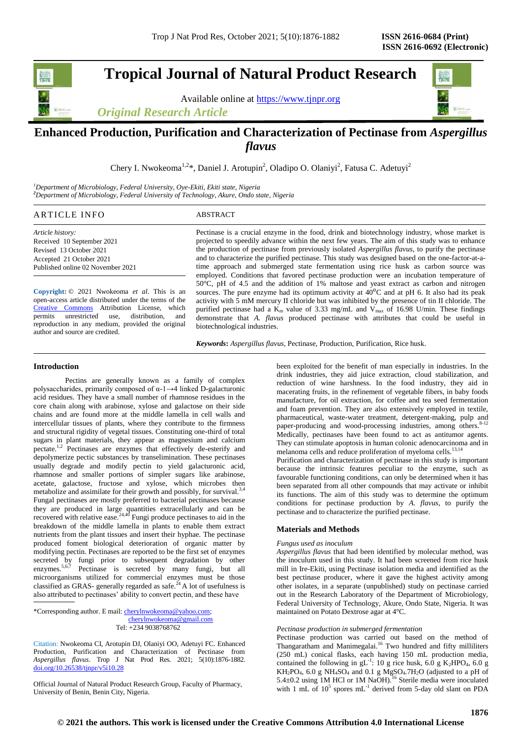**Tropical Journal of Natural Product Research**

Available online at [https://www.tjnpr.org](https://www.tjnpr.org/)

*Original Research Article*



# **Enhanced Production, Purification and Characterization of Pectinase from** *Aspergillus flavus*

Chery I. Nwokeoma<sup>1,2\*</sup>, Daniel J. Arotupin<sup>2</sup>, Oladipo O. Olaniyi<sup>2</sup>, Fatusa C. Adetuyi<sup>2</sup>

*<sup>1</sup>Department of Microbiology, Federal University, Oye-Ekiti, Ekiti state, Nigeria <sup>2</sup>Department of Microbiology, Federal University of Technology, Akure, Ondo state, Nigeria*

| ARTICLE<br><b>INFO</b> | $\Gamma$ <sup><math>\Gamma</math></sup> $R$ AC <sub>1</sub> |  |  |
|------------------------|-------------------------------------------------------------|--|--|
|------------------------|-------------------------------------------------------------|--|--|

*Article history:* Received 10 September 2021 Revised 13 October 2021 Accepted 21 October 2021 Published online 02 November 2021

**Copyright:** © 2021 Nwokeoma *et al*. This is an open-access article distributed under the terms of the [Creative Commons](https://creativecommons.org/licenses/by/4.0/) Attribution License, which permits unrestricted use, distribution, and reproduction in any medium, provided the original author and source are credited.

Pectinase is a crucial enzyme in the food, drink and biotechnology industry, whose market is projected to speedily advance within the next few years. The aim of this study was to enhance the production of pectinase from previously isolated *Aspergillus flavus*, to purify the pectinase and to characterize the purified pectinase. This study was designed based on the one-factor-at-atime approach and submerged state fermentation using rice husk as carbon source was employed. Conditions that favored pectinase production were an incubation temperature of 50°C, pH of 4.5 and the addition of 1% maltose and yeast extract as carbon and nitrogen sources. The pure enzyme had its optimum activity at  $40^{\circ}$ C and at pH 6. It also had its peak activity with 5 mM mercury II chloride but was inhibited by the presence of tin II chloride. The purified pectinase had a  $K_m$  value of 3.33 mg/mL and  $V_{max}$  of 16.98 U/min. These findings demonstrate that *A. flavus* produced pectinase with attributes that could be useful in biotechnological industries.

*Keywords***:** *Aspergillus flavus*, Pectinase, Production, Purification, Rice husk.

# **Introduction**

Pectins are generally known as a family of complex polysaccharides, primarily composed of α-1→4 linked D-galacturonic acid residues. They have a small number of rhamnose residues in the core chain along with arabinose, xylose and galactose on their side chains and are found more at the middle lamella in cell walls and intercellular tissues of plants, where they contribute to the firmness and structural rigidity of vegetal tissues. Constituting one-third of total sugars in plant materials, they appear as magnesium and calcium pectate.<sup>1,2</sup> Pectinases are enzymes that effectively de-esterify and depolymerize pectic substances by transelimination. These pectinases usually degrade and modify pectin to yield galacturonic acid, rhamnose and smaller portions of simpler sugars like arabinose, acetate, galactose, fructose and xylose, which microbes then metabolize and assimilate for their growth and possibly, for survival.<sup>3,4</sup> Fungal pectinases are mostly preferred to bacterial pectinases because they are produced in large quantities extracellularly and can be recovered with relative ease. $24,40$  Fungi produce pectinases to aid in the breakdown of the middle lamella in plants to enable them extract nutrients from the plant tissues and insert their hyphae. The pectinase produced foment biological deterioration of organic matter by modifying pectin. Pectinases are reported to be the first set of enzymes secreted by fungi prior to subsequent degradation by other enzymes.<sup>5,6,7</sup> Pectinase is secreted by many fungi, but all microorganisms utilized for commercial enzymes must be those classified as GRAS- generally regarded as safe.<sup>24</sup> A lot of usefulness is also attributed to pectinases' ability to convert pectin, and these have

Citation: Nwokeoma CI, Arotupin DJ, Olaniyi OO, Adetuyi FC. Enhanced Production, Purification and Characterization of Pectinase from *Aspergillus flavus*. Trop J Nat Prod Res. 2021; 5(10):1876-1882. [doi.org/10.26538/tjnpr/v5i10.2](http://www.doi.org/10.26538/tjnpr/v1i4.5)8

Official Journal of Natural Product Research Group, Faculty of Pharmacy, University of Benin, Benin City, Nigeria.

been exploited for the benefit of man especially in industries. In the drink industries, they aid juice extraction, cloud stabilization, and reduction of wine harshness. In the food industry, they aid in macerating fruits, in the refinement of vegetable fibers, in baby foods manufacture, for oil extraction, for coffee and tea seed fermentation and foam prevention. They are also extensively employed in textile, pharmaceutical, waste-water treatment, detergent-making, pulp and paper-producing and wood-processing industries, among others.<sup>8-12</sup> Medically, pectinases have been found to act as antitumor agents. They can stimulate apoptosis in human colonic adenocarcinoma and in melanoma cells and reduce proliferation of myeloma cells.<sup>13,14</sup>

Purification and characterization of pectinase in this study is important because the intrinsic features peculiar to the enzyme, such as favourable functioning conditions, can only be determined when it has been separated from all other compounds that may activate or inhibit its functions. The aim of this study was to determine the optimum conditions for pectinase production by *A. flavus*, to purify the pectinase and to characterize the purified pectinase.

# **Materials and Methods**

## *Fungus used as inoculum*

*Aspergillus flavus* that had been identified by molecular method, was the inoculum used in this study. It had been screened from rice husk mill in Ire-Ekiti, using Pectinase isolation media and identified as the best pectinase producer, where it gave the highest activity among other isolates, in a separate (unpublished) study on pectinase carried out in the Research Laboratory of the Department of Microbiology, Federal University of Technology, Akure, Ondo State, Nigeria. It was maintained on Potato Dextrose agar at 4°C.

## *Pectinase production in submerged fermentation*

Pectinase production was carried out based on the method of Thangaratham and Manimegalai.<sup>16</sup> Two hundred and fifty milliliters (250 mL) conical flasks, each having 150 mL production media, contained the following in  $gL^{-1}$ : 10 g rice husk, 6.0 g K<sub>2</sub>HPO<sub>4</sub>, 6.0 g  $KH_2PO_4$ , 6.0 g NH<sub>4</sub>SO<sub>4</sub> and 0.1 g Mg<sub>SO4</sub>.7H<sub>2</sub>O (adjusted to a pH of 5.4±0.2 using 1M HCl or 1M NaOH).<sup>16</sup> Sterile media were inoculated with 1 mL of  $10^5$  spores mL<sup>-1</sup> derived from 5-day old slant on PDA

<sup>\*</sup>Corresponding author. E mail[: cherylnwokeoma@yahoo.com;](mailto:cherylnwokeoma@yahoo.com) cherylnwokeoma@gmail.com Tel: +234 9038768762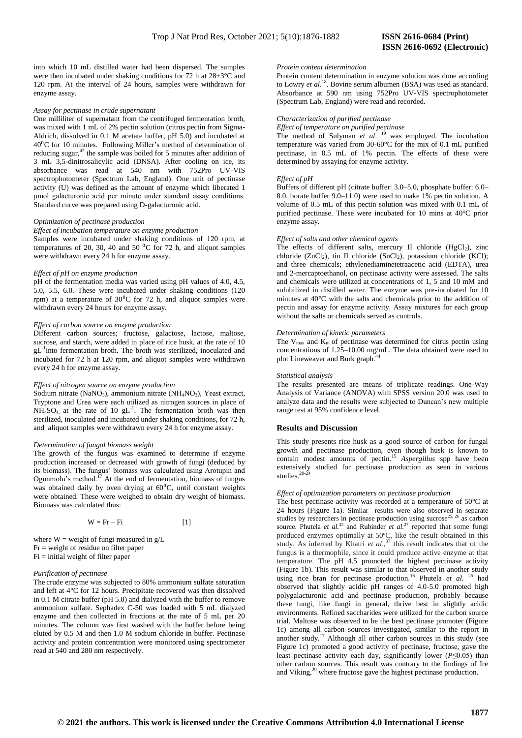into which 10 mL distilled water had been dispersed. The samples were then incubated under shaking conditions for 72 h at 28±3°C and 120 rpm. At the interval of 24 hours, samples were withdrawn for enzyme assay.

## *Assay for pectinase in crude supernatant*

One milliliter of supernatant from the centrifuged fermentation broth, was mixed with 1 mL of 2% pectin solution (citrus pectin from Sigma-Aldrich, dissolved in 0.1 M acetate buffer, pH 5.0) and incubated at  $40\textdegree$ C for 10 minutes. Following Miller's method of determination of reducing sugar,<sup>47</sup> the sample was boiled for 5 minutes after addition of 3 mL 3,5-dinitrosalicylic acid (DNSA). After cooling on ice, its absorbance was read at 540 nm with 752Pro UV-VIS spectrophotometer (Spectrum Lab, England). One unit of pectinase activity (U) was defined as the amount of enzyme which liberated 1 μmol galacturonic acid per minute under standard assay conditions. Standard curve was prepared using D-galacturonic acid.

## *Optimization of pectinase production*

*Effect of incubation temperature on enzyme production* Samples were incubated under shaking conditions of 120 rpm, at temperatures of 20, 30, 40 and 50 $\,^0C$  for 72 h, and aliquot samples were withdrawn every 24 h for enzyme assay.

#### *Effect of pH on enzyme production*

pH of the fermentation media was varied using pH values of 4.0, 4.5, 5.0, 5.5, 6.0. These were incubated under shaking conditions (120 rpm) at a temperature of  $30^{\circ}$ C for 72 h, and aliquot samples were withdrawn every 24 hours for enzyme assay.

## *Effect of carbon source on enzyme production*

Different carbon sources; fructose, galactose, lactose, maltose, sucrose, and starch, were added in place of rice husk, at the rate of 10 gL<sup>-1</sup>into fermentation broth. The broth was sterilized, inoculated and incubated for 72 h at 120 rpm, and aliquot samples were withdrawn every 24 h for enzyme assay.

#### *Effect of nitrogen source on enzyme production*

Sodium nitrate (NaNO<sub>3</sub>), ammonium nitrate (NH<sub>4</sub>NO<sub>3</sub>), Yeast extract, Tryptone and Urea were each utilized as nitrogen sources in place of  $NH<sub>4</sub>SO<sub>4</sub>$ , at the rate of 10 gL<sup>-1</sup>. The fermentation broth was then sterilized, inoculated and incubated under shaking conditions, for 72 h, and aliquot samples were withdrawn every 24 h for enzyme assay.

## *Determination of fungal biomass weight*

The growth of the fungus was examined to determine if enzyme production increased or decreased with growth of fungi (deduced by its biomass). The fungus' biomass was calculated using Arotupin and Ogunmolu's method.<sup>17</sup> At the end of fermentation, biomass of fungus was obtained daily by oven drying at 60<sup>o</sup>C, until constant weights were obtained. These were weighed to obtain dry weight of biomass. Biomass was calculated thus:

$$
W = Fr - Fi
$$
 [1]

where  $W =$  weight of fungi measured in  $g/L$  $Fr$  = weight of residue on filter paper Fi = initial weight of filter paper

#### *Purification of pectinase*

The crude enzyme was subjected to 80% ammonium sulfate saturation and left at 4°C for 12 hours. Precipitate recovered was then dissolved in 0.1 M citrate buffer (pH 5.0) and dialyzed with the buffer to remove ammonium sulfate. Sephadex C-50 was loaded with 5 mL dialyzed enzyme and then collected in fractions at the rate of 5 mL per 20 minutes. The column was first washed with the buffer before being eluted by 0.5 M and then 1.0 M sodium chloride in buffer. Pectinase activity and protein concentration were monitored using spectrometer read at 540 and 280 nm respectively.

### *Protein content determination*

Protein content determination in enzyme solution was done according to Lowry *et al*. <sup>18</sup>. Bovine serum albumen (BSA) was used as standard. Absorbance at 590 nm using 752Pro UV-VIS spectrophotometer (Spectrum Lab, England) were read and recorded.

## *Characterization of purified pectinase*

*Effect of temperature on purified pectinase*

The method of Sulyman *et al*. <sup>19</sup> was employed. The incubation temperature was varied from 30-60°C for the mix of 0.1 mL purified pectinase, in 0.5 mL of 1% pectin. The effects of these were determined by assaying for enzyme activity.

## *Effect of pH*

Buffers of different pH (citrate buffer: 3.0–5.0, phosphate buffer: 6.0– 8.0, borate buffer 9.0–11.0) were used to make 1% pectin solution. A volume of 0.5 mL of this pectin solution was mixed with 0.1 mL of purified pectinase. These were incubated for 10 mins at 40°C prior enzyme assay.

### *Effect of salts and other chemical agents*

The effects of different salts, mercury II chloride  $(HgCl<sub>2</sub>)$ , zinc chloride (ZnCl<sub>2</sub>), tin II chloride (SnCl<sub>2</sub>), potassium chloride (KCl); and three chemicals; ethylenediaminetetraacetic acid (EDTA), urea and 2-mercaptoethanol, on pectinase activity were assessed. The salts and chemicals were utilized at concentrations of 1, 5 and 10 mM and solubilized in distilled water. The enzyme was pre-incubated for 10 minutes at 40°C with the salts and chemicals prior to the addition of pectin and assay for enzyme activity. Assay mixtures for each group without the salts or chemicals served as controls.

# *Determination of kinetic parameters*

The  $V_{\text{max}}$  and  $K_{\text{m}}$  of pectinase was determined for citrus pectin using concentrations of 1.25–10.00 mg/mL. The data obtained were used to plot Lineweaver and Burk graph.<sup>4</sup>

#### *Statistical analysis*

The results presented are means of triplicate readings. One-Way Analysis of Variance (ANOVA) with SPSS version 20.0 was used to analyze data and the results were subjected to Duncan's new multiple range test at 95% confidence level.

# **Results and Discussion**

This study presents rice husk as a good source of carbon for fungal growth and pectinase production, even though husk is known to contain modest amounts of pectin.<sup>15</sup> *Aspergillus* spp have been extensively studied for pectinase production as seen in various studies. $20-24$ 

## *Effect of optimization parameters on pectinase production*

The best pectinase activity was recorded at a temperature of 50°C at 24 hours (Figure 1a). Similar results were also observed in separate studies by researchers in pectinase production using sucrose<sup>25, 26</sup> as carbon source. Phutela *et al.*<sup>25</sup> and Rubinder *et al.*<sup>27</sup> reported that some fungi produced enzymes optimally at 50ºC, like the result obtained in this study. As inferred by Khatri *et al.*,<sup>37</sup> this result indicates that of the fungus is a thermophile, since it could produce active enzyme at that temperature. The pH 4.5 promoted the highest pectinase activity (Figure 1b). This result was similar to that observed in another study using rice bran for pectinase production.<sup>16</sup> Phutela *et al.* <sup>25</sup> had observed that slightly acidic pH ranges of 4.0-5.0 promoted high polygalacturonic acid and pectinase production, probably because these fungi, like fungi in general, thrive best in slightly acidic environments. Refined saccharides were utilized for the carbon source trial. Maltose was observed to be the best pectinase promoter (Figure 1c) among all carbon sources investigated, similar to the report in another study.<sup>17</sup> Although all other carbon sources in this study (see Figure 1c) promoted a good activity of pectinase, fructose, gave the least pectinase activity each day, significantly lower (*P*≤0.05) than other carbon sources. This result was contrary to the findings of Ire and Viking,<sup>29</sup> where fructose gave the highest pectinase production.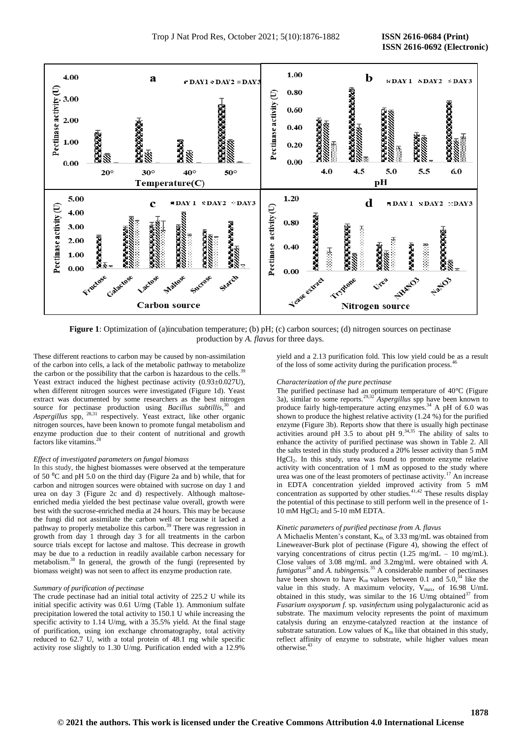

**Figure 1**: Optimization of (a)incubation temperature; (b) pH; (c) carbon sources; (d) nitrogen sources on pectinase production by *A. flavus* for three days.

These different reactions to carbon may be caused by non-assimilation of the carbon into cells, a lack of the metabolic pathway to metabolize the carbon or the possibility that the carbon is hazardous to the cells.<sup>3</sup> Yeast extract induced the highest pectinase activity (0.93±0.027U), when different nitrogen sources were investigated (Figure 1d). Yeast extract was documented by some researchers as the best nitrogen source for pectinase production using *Bacillus subtillis*,<sup>30</sup> and *Aspergillus* spp, 28,31 respectively. Yeast extract, like other organic nitrogen sources, have been known to promote fungal metabolism and enzyme production due to their content of nutritional and growth factors like vitamins.

#### *Effect of investigated parameters on fungal biomass*

In this study, the highest biomasses were observed at the temperature of 50 $\mathrm{^{0}C}$  and pH 5.0 on the third day (Figure 2a and b) while, that for carbon and nitrogen sources were obtained with sucrose on day 1 and urea on day 3 (Figure 2c and d) respectively. Although maltoseenriched media yielded the best pectinase value overall, growth were best with the sucrose-enriched media at 24 hours. This may be because the fungi did not assimilate the carbon well or because it lacked a pathway to properly metabolize this carbon.<sup>39</sup> There was regression in growth from day 1 through day 3 for all treatments in the carbon source trials except for lactose and maltose. This decrease in growth may be due to a reduction in readily available carbon necessary for metabolism.<sup>38</sup> In general, the growth of the fungi (represented by biomass weight) was not seen to affect its enzyme production rate.

# *Summary of purification of pectinase*

The crude pectinase had an initial total activity of 225.2 U while its initial specific activity was 0.61 U/mg (Table 1). Ammonium sulfate precipitation lowered the total activity to 150.1 U while increasing the specific activity to 1.14 U/mg, with a 35.5% yield. At the final stage of purification, using ion exchange chromatography, total activity reduced to 62.7 U, with a total protein of 48.1 mg while specific activity rose slightly to 1.30 U/mg. Purification ended with a 12.9%

yield and a 2.13 purification fold. This low yield could be as a result of the loss of some activity during the purification process.<sup>46</sup>

## *Characterization of the pure pectinase*

The purified pectinase had an optimum temperature of 40°C (Figure 3a), similar to some reports.29,32 *Aspergillus* spp have been known to produce fairly high-temperature acting enzymes.<sup>34</sup> A pH of 6.0 was shown to produce the highest relative activity (1.24 %) for the purified enzyme (Figure 3b). Reports show that there is usually high pectinase activities around pH  $3.5$  to about pH  $9.34,35$  The ability of salts to enhance the activity of purified pectinase was shown in Table 2. All the salts tested in this study produced a 20% lesser activity than 5 mM HgCl2. In this study, urea was found to promote enzyme relative activity with concentration of 1 mM as opposed to the study where urea was one of the least promoters of pectinase activity.<sup>17</sup> An increase in EDTA concentration yielded improved activity from 5 mM concentration as supported by other studies.<sup>41,42</sup> These results display the potential of this pectinase to still perform well in the presence of 1- 10 mM HgCl<sub>2</sub> and 5-10 mM EDTA.

#### *Kinetic parameters of purified pectinase from A. flavus*

A Michaelis Menten's constant,  $K_{m}$  of 3.33 mg/mL was obtained from Lineweaver-Burk plot of pectinase (Figure 4), showing the effect of varying concentrations of citrus pectin  $(1.25 \text{ mg/mL} - 10 \text{ mg/mL})$ . Close values of 3.08 mg/mL and 3.2mg/mL were obtained with *A. fumigatus*<sup>24</sup> and *A. tubingensis.*<sup>35</sup> A considerable number of pectinases have been shown to have  $K_m$  values between 0.1 and 5.0,<sup>34</sup> like the value in this study. A maximum velocity,  $V_{max}$ , of 16.98 U/mL obtained in this study, was similar to the  $16$  U/mg obtained<sup>37</sup> from *Fusarium oxysporum f.* sp. *vasinfectum* using polygalacturonic acid as substrate. The maximum velocity represents the point of maximum catalysis during an enzyme-catalyzed reaction at the instance of substrate saturation. Low values of  $K_m$  like that obtained in this study, reflect affinity of enzyme to substrate, while higher values mean otherwise.<sup>43</sup>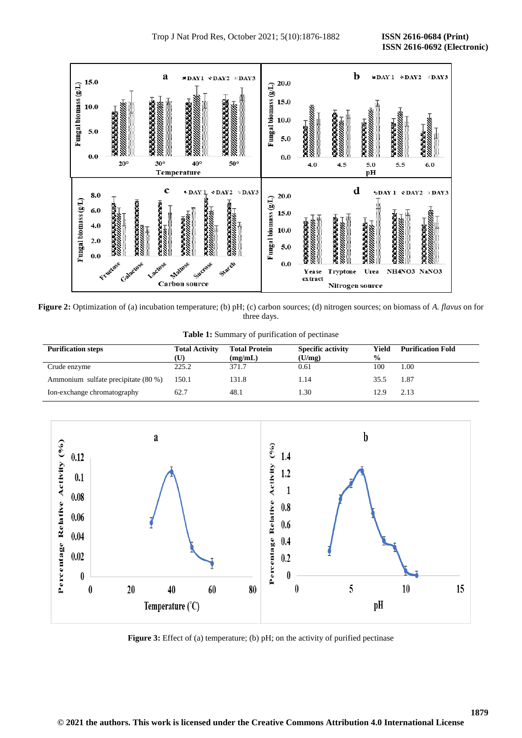

**Figure 2:** Optimization of (a) incubation temperature; (b) pH; (c) carbon sources; (d) nitrogen sources; on biomass of *A. flavus* on for three days.

**Table 1:** Summary of purification of pectinase

| <b>Purification steps</b>           | <b>Total Activity</b><br>(U) | <b>Total Protein</b><br>(mg/mL) | <b>Specific activity</b><br>(U/mg) | Yield<br>$\frac{6}{9}$ | <b>Purification Fold</b> |
|-------------------------------------|------------------------------|---------------------------------|------------------------------------|------------------------|--------------------------|
| Crude enzyme                        | 225.2                        | 371.7                           | 0.61                               | 100                    | 1.00                     |
| Ammonium sulfate precipitate (80 %) | 150.1                        | 131.8                           | 1.14                               | 35.5                   | 1.87                     |
| Ion-exchange chromatography         | 62.7                         | 48.1                            | 1.30                               | 12.9                   | 2.13                     |



**Figure 3:** Effect of (a) temperature; (b) pH; on the activity of purified pectinase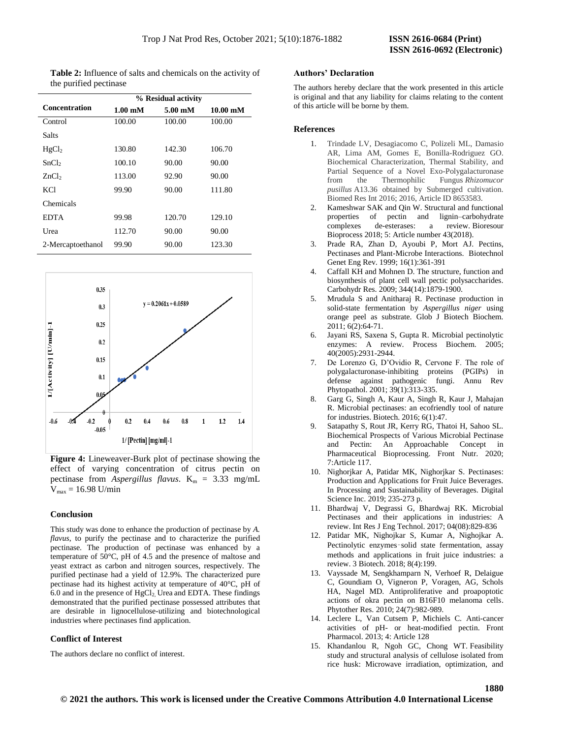| <b>Table 2:</b> Influence of salts and chemicals on the activity of |  |
|---------------------------------------------------------------------|--|
| the purified pectinase                                              |  |

|                      | % Residual activity        |                            |                             |  |  |
|----------------------|----------------------------|----------------------------|-----------------------------|--|--|
| <b>Concentration</b> | $1.00 \text{ }\mathrm{mM}$ | $5.00 \text{ }\mathrm{mM}$ | $10.00 \text{ }\mathrm{mM}$ |  |  |
| Control              | 100.00                     | 100.00                     | 100.00                      |  |  |
| Salts                |                            |                            |                             |  |  |
| HgCl <sub>2</sub>    | 130.80                     | 142.30                     | 106.70                      |  |  |
| SnCl <sub>2</sub>    | 100.10                     | 90.00                      | 90.00                       |  |  |
| ZnCl <sub>2</sub>    | 113.00                     | 92.90                      | 90.00                       |  |  |
| <b>KCl</b>           | 99.90                      | 90.00                      | 111.80                      |  |  |
| Chemicals            |                            |                            |                             |  |  |
| <b>EDTA</b>          | 99.98                      | 120.70                     | 129.10                      |  |  |
| Urea                 | 112.70                     | 90.00                      | 90.00                       |  |  |
| 2-Mercaptoethanol    | 99.90                      | 90.00                      | 123.30                      |  |  |



**Figure 4:** Lineweaver-Burk plot of pectinase showing the effect of varying concentration of citrus pectin on pectinase from *Aspergillus flavus*.  $K_m = 3.33$  mg/mL  $V_{\text{max}} = 16.98 \text{ U/min}$ 

# **Conclusion**

This study was done to enhance the production of pectinase by *A. flavus*, to purify the pectinase and to characterize the purified pectinase. The production of pectinase was enhanced by a temperature of 50°C, pH of 4.5 and the presence of maltose and yeast extract as carbon and nitrogen sources, respectively. The purified pectinase had a yield of 12.9%. The characterized pure pectinase had its highest activity at temperature of 40°C, pH of 6.0 and in the presence of  $HgCl<sub>2</sub>$ . Urea and EDTA. These findings demonstrated that the purified pectinase possessed attributes that are desirable in lignocellulose-utilizing and biotechnological industries where pectinases find application.

# **Conflict of Interest**

The authors declare no conflict of interest.

#### **Authors' Declaration**

The authors hereby declare that the work presented in this article is original and that any liability for claims relating to the content of this article will be borne by them.

# **References**

- 1. Trindade LV, Desagiacomo C, Polizeli ML, Damasio AR, Lima AM, Gomes E, Bonilla-Rodriguez GO. Biochemical Characterization, Thermal Stability, and Partial Sequence of a Novel Exo-Polygalacturonase from the Thermophilic Fungus *Rhizomucor pusillus* A13.36 obtained by Submerged cultivation. Biomed Res Int 2016; 2016, Article ID 8653583.
- 2. Kameshwar SAK and Qin W. Structural and functional properties of pectin and lignin–carbohydrate complexes de-esterases: a review. Bioresour Bioprocess 2018; 5: Article number 43(2018).
- 3. Prade RA, Zhan D, Ayoubi P, Mort AJ. Pectins, Pectinases and Plant-Microbe Interactions. Biotechnol Genet Eng Rev. 1999; 16(1):361-391
- 4. Caffall KH and Mohnen D. The structure, function and biosynthesis of plant cell wall pectic polysaccharides. Carbohydr Res. 2009; 344(14):1879-1900.
- 5. Mrudula S and Anitharaj R. Pectinase production in solid-state fermentation by *Aspergillus niger* using orange peel as substrate. Glob J Biotech Biochem. 2011; 6(2):64-71.
- 6. Jayani RS, Saxena S, Gupta R. Microbial pectinolytic enzymes: A review. Process Biochem. 2005; 40(2005):2931-2944.
- 7. De Lorenzo G, D'Ovidio R, Cervone F. The role of polygalacturonase-inhibiting proteins (PGIPs) in defense against pathogenic fungi. Annu Rev Phytopathol. 2001; 39(1):313-335.
- 8. Garg G, Singh A, Kaur A, Singh R, Kaur J, Mahajan R. Microbial pectinases: an ecofriendly tool of nature for industries. Biotech. 2016; 6(1):47.
- 9. Satapathy S, Rout JR, Kerry RG, Thatoi H, Sahoo SL. Biochemical Prospects of Various Microbial Pectinase and Pectin: An Approachable Concept in Pharmaceutical Bioprocessing. Front Nutr. 2020; 7:Article 117.
- 10. Nighorjkar A, Patidar MK, Nighorjkar S. Pectinases: Production and Applications for Fruit Juice Beverages. In Processing and Sustainability of Beverages. Digital Science Inc. 2019; 235-273 p.
- 11. Bhardwaj V, Degrassi G, Bhardwaj RK. Microbial Pectinases and their applications in industries: A review. Int Res J Eng Technol. 2017; 04(08):829-836
- 12. Patidar MK, Nighojkar S, Kumar A, Nighojkar A. Pectinolytic enzymes‑solid state fermentation, assay methods and applications in fruit juice industries: a review. 3 Biotech. 2018; 8(4):199.
- 13. Vayssade M, Sengkhamparn N, Verhoef R, Delaigue C, Goundiam O, Vigneron P, Voragen, AG, Schols HA, Nagel MD. Antiproliferative and proapoptotic actions of okra pectin on B16F10 melanoma cells. Phytother Res. 2010; 24(7):982-989.
- 14. Leclere L, Van Cutsem P, Michiels C. Anti-cancer activities of pH- or heat-modified pectin. Front Pharmacol. 2013; 4: Article 128
- 15. Khandanlou R, Ngoh GC, Chong WT. Feasibility study and structural analysis of cellulose isolated from rice husk: Microwave irradiation, optimization, and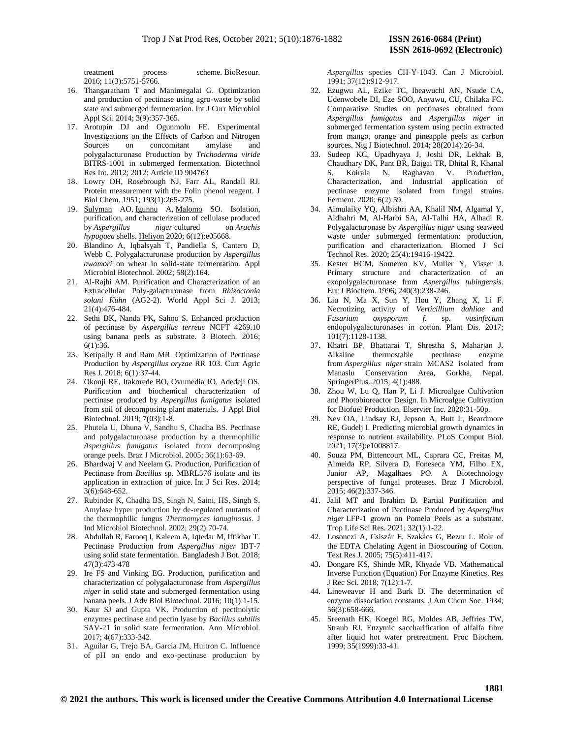treatment process scheme. BioResour. 2016; 11(3):5751-5766.

- 16. Thangaratham T and Manimegalai G. Optimization and production of pectinase using agro-waste by solid state and submerged fermentation. Int J Curr Microbiol Appl Sci. 2014; 3(9):357-365.
- 17. Arotupin DJ and Ogunmolu FE. Experimental Investigations on the Effects of Carbon and Nitrogen Sources on concomitant amylase and polygalacturonase Production by *Trichoderma viride* BITRS-1001 in submerged fermentation. Biotechnol Res Int. 2012; 2012: Article ID 904763
- 18. Lowry OH, Rosebrough NJ, Farr AL, Randall RJ. Protein measurement with the Folin phenol reagent. J Biol Chem. 1951; 193(1):265-275.
- 19. [Sulyman](https://www.ncbi.nlm.nih.gov/pubmed/?term=Sulyman%20A%5BAuthor%5D&cauthor=true&cauthor_uid=33319112) AO, [Igunnu](https://www.ncbi.nlm.nih.gov/pubmed/?term=Igunnu%20A%5BAuthor%5D&cauthor=true&cauthor_uid=33319112) A, [Malomo](https://www.ncbi.nlm.nih.gov/pubmed/?term=Malomo%20S%5BAuthor%5D&cauthor=true&cauthor_uid=33319112) SO. Isolation, purification, and characterization of cellulase produced<br>by Aspergillus niger cultured on Arachis by *Aspergillus niger* cultured on *Arachis hypogaea* shells. [Heliyon](https://www.ncbi.nlm.nih.gov/pmc/articles/PMC7723808/) 2020; 6(12):e05668.
- 20. Blandino A, Iqbalsyah T, Pandiella S, Cantero D, Webb C. Polygalacturonase production by *Aspergillus awamori* on wheat in solid-state fermentation. Appl Microbiol Biotechnol. 2002; 58(2):164.
- 21. Al-Rajhi AM. Purification and Characterization of an Extracellular Poly-galacturonase from *Rhizoctonia solani Kühn* (AG2-2). World Appl Sci J. 2013; 21(4):476-484.
- 22. Sethi BK, Nanda PK, Sahoo S. Enhanced production of pectinase by *Aspergillus terreus* NCFT 4269.10 using banana peels as substrate. 3 Biotech. 2016; 6(1):36.
- 23. Ketipally R and Ram MR. Optimization of Pectinase Production by *Aspergillus oryzae* RR 103. Curr Agric Res J. 2018; 6(1):37-44.
- 24. Okonji RE, Itakorede BO, Ovumedia JO, Adedeji OS. Purification and biochemical characterization of pectinase produced by *Aspergillus fumigatus* isolated from soil of decomposing plant materials. J Appl Biol Biotechnol. 2019; 7(03):1-8.
- 25. Phutela U, Dhuna V, Sandhu S, Chadha BS. Pectinase and polygalacturonase production by a thermophilic *Aspergillus fumigatus* isolated from decomposing orange peels. Braz J Microbiol. 2005; 36(1):63-69.
- 26. Bhardwaj V and Neelam G. Production, Purification of Pectinase from *Bacillus* sp. MBRL576 isolate and its application in extraction of juice. Int J Sci Res. 2014; 3(6):648-652.
- 27. Rubinder K, Chadha BS, Singh N, Saini, HS, Singh S. Amylase hyper production by de-regulated mutants of the thermophilic fungus *Thermomyces lanuginosus*. J Ind Microbiol Biotechnol. 2002; 29(2):70-74.
- 28. Abdullah R, Farooq I, Kaleem A, Iqtedar M, Iftikhar T. Pectinase Production from *Aspergillus niger* IBT-7 using solid state fermentation. Bangladesh J Bot. 2018; 47(3):473-478
- 29. Ire FS and Vinking EG. Production, purification and characterization of polygalacturonase from *Aspergillus niger* in solid state and submerged fermentation using banana peels. J Adv Biol Biotechnol. 2016; 10(1):1-15.
- 30. Kaur SJ and Gupta VK. Production of pectinolytic enzymes pectinase and pectin lyase by *Bacillus subtilis* SAV-21 in solid state fermentation. Ann Microbiol. 2017; 4(67):333-342.
- 31. Aguilar G, Trejo BA, Garcia JM, Huitron C. Influence of pH on endo and exo-pectinase production by

*Aspergillus* species CH-Y-1043. Can J Microbiol. 1991; 37(12):912-917.

- 32. Ezugwu AL, Ezike TC, Ibeawuchi AN, Nsude CA, Udenwobele DI, Eze SOO, Anyawu, CU, Chilaka FC. Comparative Studies on pectinases obtained from *Aspergillus fumigatus* and *Aspergillus niger* in submerged fermentation system using pectin extracted from mango, orange and pineapple peels as carbon sources. Nig J Biotechnol. 2014; 28(2014):26-34.
- 33. Sudeep KC, Upadhyaya J, Joshi DR, Lekhak B, Chaudhary DK, Pant BR, Bajgai TR, Dhital R, Khanal S, Koirala N, Raghavan V. Production, Characterization, and Industrial application of pectinase enzyme isolated from fungal strains. Ferment. 2020; 6(2):59.
- 34. Almulaiky YQ, Albishri AA, Khalil NM, Algamal Y, Aldhahri M, Al-Harbi SA, Al-Talhi HA, Alhadi R. Polygalacturonase by *Aspergillus niger* using seaweed waste under submerged fermentation: production, purification and characterization. Biomed J Sci Technol Res. 2020; 25(4):19416-19422.
- 35. Kester HCM, Someren KV, Muller Y, Visser J. Primary structure and characterization of an exopolygalacturonase from *Aspergillus tubingensis.* Eur J Biochem. 1996; 240(3):238-246.
- 36. Liu N, Ma X, Sun Y, Hou Y, Zhang X, Li F. Necrotizing activity of *Verticillium dahliae* and *Fusarium oxysporum f.* sp. *vasinfectum* endopolygalacturonases in cotton. Plant Dis. 2017; 101(7):1128-1138.
- 37. Khatri BP, Bhattarai T, Shrestha S, Maharjan J. Alkaline thermostable pectinase enzyme from *Aspergillus niger* strain MCAS2 isolated from Manaslu Conservation Area, Gorkha, Nepal. SpringerPlus. 2015; 4(1):488.
- 38. Zhou W, Lu Q, Han P, Li J. Microalgae Cultivation and Photobioreactor Design. In Microalgae Cultivation for Biofuel Production. Elservier Inc. 2020:31-50p.
- 39. Nev OA, Lindsay RJ, Jepson A, Butt L, Beardmore RE, Gudelj I. Predicting microbial growth dynamics in response to nutrient availability. PLoS Comput Biol. 2021; 17(3):e1008817.
- 40. Souza PM, Bittencourt ML, Caprara CC, Freitas M, Almeida RP, Silvera D, Foneseca YM, Filho EX, Junior AP, Magalhaes PO. A Biotechnology perspective of fungal proteases. Braz J Microbiol. 2015; 46(2):337-346.
- 41. Jalil MT and Ibrahim D. Partial Purification and Characterization of Pectinase Produced by *Aspergillus niger* LFP-1 grown on Pomelo Peels as a substrate. [Trop Life Sci Res.](https://www.ncbi.nlm.nih.gov/pmc/articles/PMC8054668/) 2021; 32(1):1-22.
- 42. Losonczi A, Csiszár E, Szakács G, Bezur L. Role of the EDTA Chelating Agent in Bioscouring of Cotton. Text Res J. 2005; 75(5):411-417.
- 43. Dongare KS, Shinde MR, Khyade VB. Mathematical Inverse Function (Equation) For Enzyme Kinetics. Res J Rec Sci. 2018; 7(12):1-7.
- 44. Lineweaver H and Burk D. The determination of enzyme dissociation constants. J Am Chem Soc. 1934; 56(3):658-666.
- 45. Sreenath HK, Koegel RG, Moldes AB, Jeffries TW, Straub RJ. Enzymic saccharification of alfalfa fibre after liquid hot water pretreatment. Proc Biochem. 1999; 35(1999):33-41.

**1881**